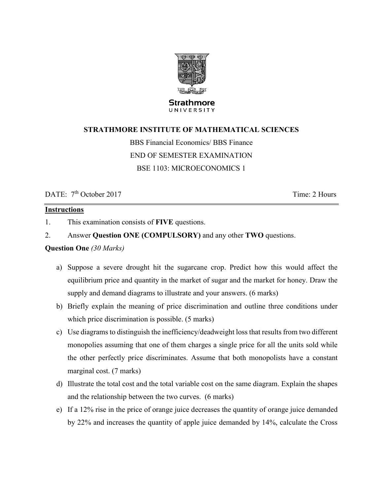

UNIVERSITY

# **STRATHMORE INSTITUTE OF MATHEMATICAL SCIENCES**

BBS Financial Economics/ BBS Finance END OF SEMESTER EXAMINATION BSE 1103: MICROECONOMICS 1

DATE:  $7<sup>th</sup> October 2017$  Time: 2 Hours

## **Instructions**

1. This examination consists of **FIVE** questions.

2. Answer **Question ONE (COMPULSORY)** and any other **TWO** questions.

**Question One** *(30 Marks)*

- a) Suppose a severe drought hit the sugarcane crop. Predict how this would affect the equilibrium price and quantity in the market of sugar and the market for honey. Draw the supply and demand diagrams to illustrate and your answers. (6 marks)
- b) Briefly explain the meaning of price discrimination and outline three conditions under which price discrimination is possible. (5 marks)
- c) Use diagrams to distinguish the inefficiency/deadweight loss that results from two different monopolies assuming that one of them charges a single price for all the units sold while the other perfectly price discriminates. Assume that both monopolists have a constant marginal cost. (7 marks)
- d) Illustrate the total cost and the total variable cost on the same diagram. Explain the shapes and the relationship between the two curves. (6 marks)
- e) If a 12% rise in the price of orange juice decreases the quantity of orange juice demanded by 22% and increases the quantity of apple juice demanded by 14%, calculate the Cross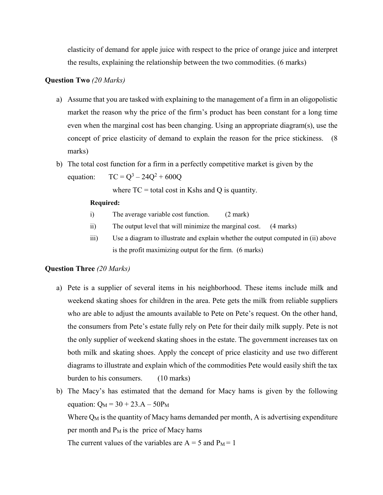elasticity of demand for apple juice with respect to the price of orange juice and interpret the results, explaining the relationship between the two commodities. (6 marks)

### **Question Two** *(20 Marks)*

- a) Assume that you are tasked with explaining to the management of a firm in an oligopolistic market the reason why the price of the firm's product has been constant for a long time even when the marginal cost has been changing. Using an appropriate diagram(s), use the concept of price elasticity of demand to explain the reason for the price stickiness. (8 marks)
- b) The total cost function for a firm in a perfectly competitive market is given by the

equation:  $TC = Q^3 - 24Q^2 + 600Q$ 

where  $TC = total cost in Kshs$  and Q is quantity.

#### **Required:**

- i) The average variable cost function. (2 mark)
- ii) The output level that will minimize the marginal cost. (4 marks)
- iii) Use a diagram to illustrate and explain whether the output computed in (ii) above is the profit maximizing output for the firm. (6 marks)

#### **Question Three** *(20 Marks)*

- a) Pete is a supplier of several items in his neighborhood. These items include milk and weekend skating shoes for children in the area. Pete gets the milk from reliable suppliers who are able to adjust the amounts available to Pete on Pete's request. On the other hand, the consumers from Pete's estate fully rely on Pete for their daily milk supply. Pete is not the only supplier of weekend skating shoes in the estate. The government increases tax on both milk and skating shoes. Apply the concept of price elasticity and use two different diagrams to illustrate and explain which of the commodities Pete would easily shift the tax burden to his consumers. (10 marks)
- b) The Macy's has estimated that the demand for Macy hams is given by the following equation:  $Q_M = 30 + 23.A - 50P_M$ Where  $Q_M$  is the quantity of Macy hams demanded per month, A is advertising expenditure per month and  $P_M$  is the price of Macy hams

The current values of the variables are  $A = 5$  and  $P_M = 1$